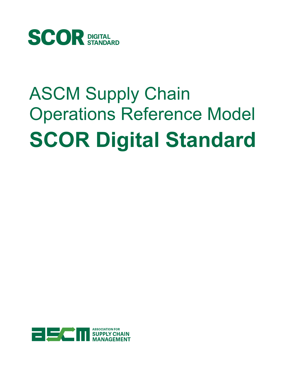

# ASCM Supply Chain Operations Reference Model **SCOR Digital Standard**

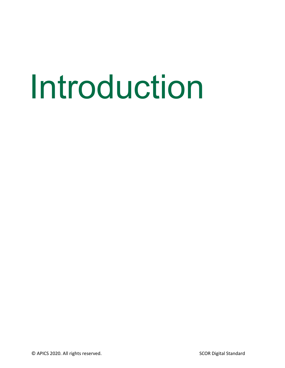# Introduction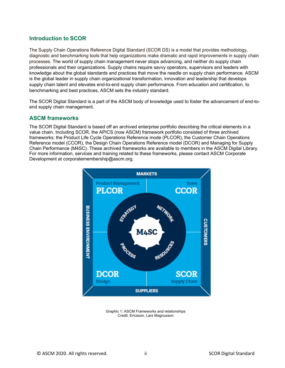#### **Introduction to SCOR**

The Supply Chain Operations Reference Digital Standard (SCOR DS) is a model that provides methodology, diagnostic and benchmarking tools that help organizations make dramatic and rapid improvements in supply chain processes. The world of supply chain management never stops advancing, and neither do supply chain professionals and their organizations. Supply chains require savvy operators, supervisors and leaders with knowledge about the global standards and practices that move the needle on supply chain performance. ASCM is the global leader in supply chain organizational transformation, innovation and leadership that develops supply chain talent and elevates end-to-end supply chain performance. From education and certification, to benchmarking and best practices, ASCM sets the industry standard.

The SCOR Digital Standard is a part of the ASCM body of knowledge used to foster the advancement of end-toend supply chain management.

#### **ASCM frameworks**

The SCOR Digital Standard is based off an archived enterprise portfolio describing the critical elements in a value chain. Including SCOR, the APICS (now ASCM) framework portfolio consisted of three archived frameworks: the Product Life Cycle Operations Reference mode (PLCOR), the Customer Chain Operations Reference model (CCOR), the Design Chain Operations Reference model (DCOR) and Managing for Supply Chain Performance (M4SC). These archived frameworks are available to members in the ASCM Digital Library. For more information, services and training related to these frameworks, please contact ASCM Corporate Development at corporatemembership@ascm.org.



Graphic 1: ASCM Frameworks and relationships Credit: Ericsson, Lars Magnusson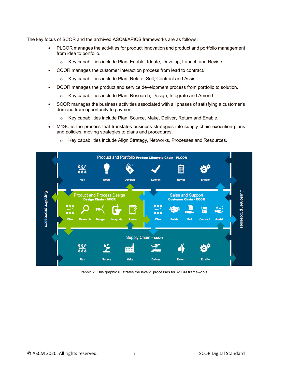The key focus of SCOR and the archived ASCM/APICS frameworks are as follows:

- PLCOR manages the activities for product innovation and product and portfolio management from idea to portfolio.
	- o Key capabilities include Plan, Enable, Ideate, Develop, Launch and Revise.
- CCOR manages the customer interaction process from lead to contract.
	- o Key capabilities include Plan, Relate, Sell, Contract and Assist.
- DCOR manages the product and service development process from portfolio to solution.
	- o Key capabilities include Plan, Research, Design, Integrate and Amend.
- SCOR manages the business activities associated with all phases of satisfying a customer's demand from opportunity to payment.
	- o Key capabilities include Plan, Source, Make, Deliver, Return and Enable.
- M4SC is the process that translates business strategies into supply chain execution plans and policies, moving strategies to plans and procedures.
	- o Key capabilities include Align Strategy, Networks, Processes and Resources.



Graphic 2: This graphic illustrates the level-1 processes for ASCM frameworks.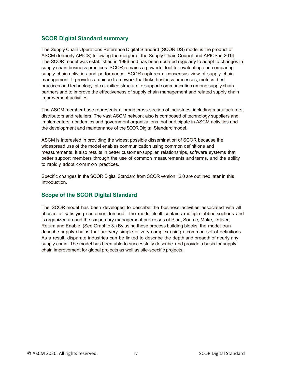#### **SCOR Digital Standard summary**

The Supply Chain Operations Reference Digital Standard (SCOR DS) model is the product of ASCM (formerly APICS) following the merger of the Supply Chain Council and APICS in 2014. The SCOR model was established in 1996 and has been updated regularly to adapt to changes in supply chain business practices. SCOR remains a powerful tool for evaluating and comparing supply chain activities and performance. SCOR captures a consensus view of supply chain management. It provides a unique framework that links business processes, metrics, best practices and technology into a unified structure to support communication among supply chain partners and to improve the effectiveness of supply chain management and related supply chain improvement activities.

The ASCM member base represents a broad cross-section of industries, including manufacturers, distributors and retailers. The vast ASCM network also is composed of technology suppliers and implementers, academics and government organizations that participate in ASCM activities and the development and maintenance of the SCOR Digital Standard model.

ASCM is interested in providing the widest possible dissemination of SCOR because the widespread use of the model enables communication using common definitions and measurements. It also results in better customer-supplier relationships, software systems that better support members through the use of common measurements and terms, and the ability to rapidly adopt common practices.

Specific changes in the SCOR Digital Standard from SCOR version 12.0 are outlined later in this Introduction.

#### **Scope of the SCOR Digital Standard**

The SCOR model has been developed to describe the business activities associated with all phases of satisfying customer demand. The model itself contains multiple tabbed sections and is organized around the six primary management processes of Plan, Source, Make, Deliver, Return and Enable. (See Graphic 3.) By using these process building blocks, the model can describe supply chains that are very simple or very complex using a common set of definitions. As a result, disparate industries can be linked to describe the depth and breadth of nearly any supply chain. The model has been able to successfully describe and provide a basis for supply chain improvement for global projects as well as site-specific projects.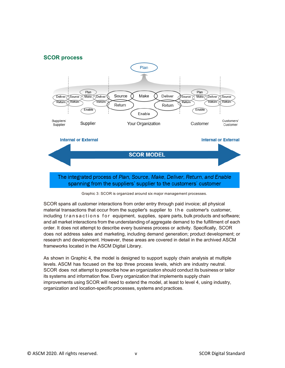

Graphic 3: SCOR is organized around six major management processes.

SCOR spans all customer interactions from order entry through paid invoice; all physical material transactions that occur from the supplier's supplier to the customer's customer, including transactions for equipment, supplies, spare parts, bulk products and software; and all market interactions from the understanding of aggregate demand to the fulfillment of each order. It does not attempt to describe every business process or activity. Specifically, SCOR does not address sales and marketing, including demand generation; product development; or research and development. However, these areas are covered in detail in the archived ASCM frameworks located in the ASCM Digital Library.

As shown in Graphic 4, the model is designed to support supply chain analysis at multiple levels. ASCM has focused on the top three process levels, which are industry neutral. SCOR does not attempt to prescribe how an organization should conduct its business or tailor its systems and information flow. Every organization that implements supply chain improvements using SCOR will need to extend the model, at least to level 4, using industry, organization and location-specific processes, systems and practices.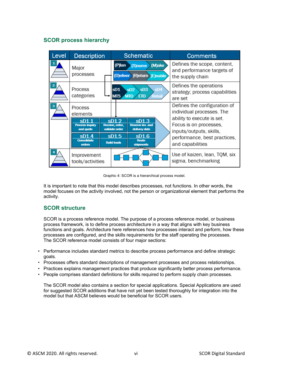# **SCOR process hierarchy**

| Level | <b>Description</b>                                 |                                                    | <b>Schematic</b>                                                   | <b>Comments</b>                                                                 |
|-------|----------------------------------------------------|----------------------------------------------------|--------------------------------------------------------------------|---------------------------------------------------------------------------------|
|       | Major<br>processes                                 | (P)lan                                             | (M)ake<br>(S)ource<br>(D) eliver<br>(R)eturn (E)nable              | Defines the scope, content,<br>and performance targets of<br>the supply chain   |
| 2     | Process<br>categories                              | sD <sub>1</sub><br><b>MTS</b>                      | sD <sub>4</sub><br>sD3<br>SD2<br><b>MTO</b><br><b>ETO</b><br>łetai | Defines the operations<br>strategy; process capabilities<br>are set             |
| 3     | <b>Process</b><br>elements                         |                                                    |                                                                    | Defines the configuration of<br>individual processes. The                       |
|       | sD1<br><b>Process inquiry</b><br>and quote<br>SD14 | SD12<br>Receive, enter,<br>validate order<br>sD1.5 | SD13<br><b>Reserve inv. and</b><br>delivery date<br>SD16           | ability to execute is set.<br>Focus is on processes,<br>inputs/outputs, skills, |
|       | <b>Consolidate</b><br>orders                       | <b>Build loads</b>                                 | <b>Route</b><br>shipments                                          | performance, best practices,<br>and capabilities                                |
|       | Improvement<br>tools/activities                    |                                                    |                                                                    | Use of kaizen, lean, TQM, six<br>sigma, benchmarking                            |

Graphic 4: SCOR is a hierarchical process model.

It is important to note that this model describes processes, not functions. In other words, the model focuses on the activity involved, not the person or organizational element that performs the activity.

#### **SCOR structure**

SCOR is a process reference model. The purpose of a process reference model, or business process framework, is to define process architecture in a way that aligns with key business functions and goals. Architecture here references how processes interact and perform, how these processes are configured, and the skills requirements for the staff operating the processes. The SCOR reference model consists of four major sections:

- Performance includes standard metrics to describe process performance and define strategic goals.
- Processes offers standard descriptions of management processes and process relationships.
- Practices explains management practices that produce significantly better process performance.
- People comprises standard definitions for skills required to perform supply chain processes.

The SCOR model also contains a section for special applications. Special Applications are used for suggested SCOR additions that have not yet been tested thoroughly for integration into the model but that ASCM believes would be beneficial for SCOR users.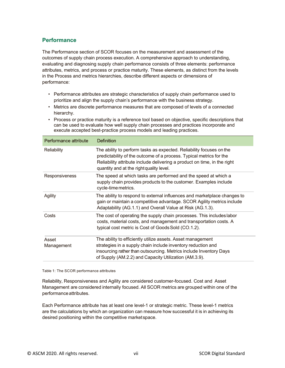# **Performance**

The Performance section of SCOR focuses on the measurement and assessment of the outcomes of supply chain process execution. A comprehensive approach to understanding, evaluating and diagnosing supply chain performance consists of three elements: performance attributes, metrics, and process or practice maturity. These elements, as distinct from the levels in the Process and metrics hierarchies, describe different aspects or dimensions of performance:

- Performance attributes are strategic characteristics of supply chain performance used to prioritize and align the supply chain's performance with the business strategy.
- Metrics are discrete performance measures that are composed of levels of a connected hierarchy.
- Process or practice maturity is a reference tool based on objective, specific descriptions that can be used to evaluate how well supply chain processes and practices incorporate and execute accepted best-practice process models and leading practices.

| Performance attribute | Definition                                                                                                                                                                                                                                                          |
|-----------------------|---------------------------------------------------------------------------------------------------------------------------------------------------------------------------------------------------------------------------------------------------------------------|
| <b>Reliability</b>    | The ability to perform tasks as expected. Reliability focuses on the<br>predictability of the outcome of a process. Typical metrics for the<br>Reliability attribute include delivering a product on time, in the right<br>quantity and at the right quality level. |
| Responsiveness        | The speed at which tasks are performed and the speed at which a<br>supply chain provides products to the customer. Examples include<br>cycle-time metrics.                                                                                                          |
| Agility               | The ability to respond to external influences and marketplace changes to<br>gain or maintain a competitive advantage. SCOR Agility metrics include<br>Adaptability (AG.1.1) and Overall Value at Risk (AG.1.3).                                                     |
| Costs                 | The cost of operating the supply chain processes. This includes labor<br>costs, material costs, and management and transportation costs. A<br>typical cost metric is Cost of Goods Sold (CO.1.2).                                                                   |
| Asset<br>Management   | The ability to efficiently utilize assets. Asset management<br>strategies in a supply chain include inventory reduction and<br>insourcing rather than outsourcing. Metrics include Inventory Days<br>of Supply (AM.2.2) and Capacity Utilization (AM.3.9).          |

#### Table 1: The SCOR performance attributes

Reliability, Responsiveness and Agility are considered customer-focused. Cost and Asset Management are considered internally focused. All SCOR metrics are grouped within one of the performanceattributes.

Each Performance attribute has at least one level-1 or strategic metric. These level-1 metrics are the calculations by which an organization can measure how successful it is in achieving its desired positioning within the competitive marketspace.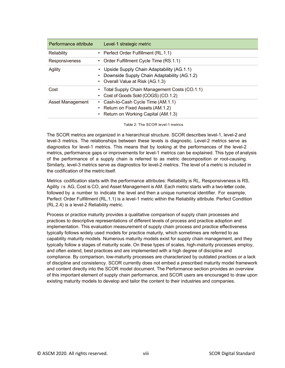| Performance attribute | Level-1 strategic metric                                                                                                     |
|-----------------------|------------------------------------------------------------------------------------------------------------------------------|
| Reliability           | • Perfect Order Fulfillment (RL.1.1)                                                                                         |
| Responsiveness        | • Order Fulfillment Cycle Time (RS.1.1)                                                                                      |
| Agility               | Upside Supply Chain Adaptability (AG.1.1)<br>Downside Supply Chain Adaptability (AG.1.2)<br>• Overall Value at Risk (AG.1.3) |
| Cost                  | Total Supply Chain Management Costs (CO.1.1)<br>Cost of Goods Sold (COGS) (CO.1.2)                                           |
| Asset Management      | Cash-to-Cash Cycle Time (AM.1.1)<br>٠<br>• Return on Fixed Assets (AM.1.2)<br>• Return on Working Capital (AM.1.3)           |

Table 2: The SCOR level-1 metrics

The SCOR metrics are organized in a hierarchical structure. SCOR describes level-1, level-2 and level-3 metrics. The relationships between these levels is diagnostic. Level-2 metrics serve as diagnostics for level-1 metrics. This means that by looking at the performances of the level-2 metrics, performance gaps or improvements for level-1 metrics can be explained. This type of analysis of the performance of a supply chain is referred to as metric decomposition or root-causing. Similarly, level-3 metrics serve as diagnostics for level-2 metrics. The level of a metric is included in the codification of the metric itself.

Metrics codification starts with the performance attributes: Reliability is RL, Responsiveness is RS, Agility i s AG, Cost is CO, and Asset Management is AM. Each metric starts with a two-letter code, followed by a number to indicate the level and then a unique numerical identifier. For example, Perfect Order Fulfillment (RL.1.1) is a level-1 metric within the Reliability attribute. Perfect Condition (RL.2.4) is a level-2 Reliability metric.

Process or practice maturity provides a qualitative comparison of supply chain processes and practices to descriptive representations of different levels of process and practice adoption and implementation. This evaluation measurement of supply chain process and practice effectiveness typically follows widely used models for practice maturity, which sometimes are referred to as capability maturity models. Numerous maturity models exist for supply chain management, and they typically follow a stages of maturity scale. On these types of scales, high-maturity processes employ, and often extend, best practices and are implemented with a high degree of discipline and compliance. By comparison, low-maturity processes are characterized by outdated practices or a lack of discipline and consistency. SCOR currently does not embed a prescribed maturity model framework and content directly into the SCOR model document. The Performance section provides an overview of this important element of supply chain performance, and SCOR users are encouraged to draw upon existing maturity models to develop and tailor the content to their industries and companies.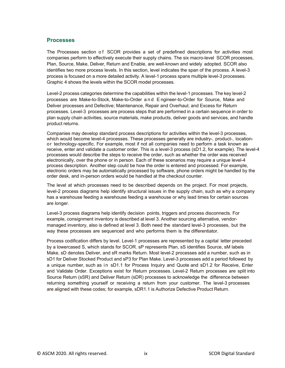#### **Processes**

The Processes section of SCOR provides a set of predefined descriptions for activities most companies perform to effectively execute their supply chains. The six macro-level SCOR processes, Plan, Source, Make, Deliver, Return and Enable, are well-known and widely adopted. SCOR also identifies two more process levels. In this section, level indicates the span of the process. A level-3 process is focused on a more detailed activity. A level-1 process spans multiple level-3 processes. Graphic 4 shows the levels within the SCOR model processes.

Level-2 process categories determine the capabilities within the level-1 processes. The key level-2 processes are Make-to-Stock, Make-to-Order and E ngineer-to-Order for Source, Make and Deliver processes and Defective; Maintenance, Repair and Overhaul; and Excess for Return processes. Level-3 processes are process steps that are performed in a certain sequence in order to plan supply chain activities, source materials, make products, deliver goods and services, and handle product returns.

Companies may develop standard process descriptions for activities within the level-3 processes, which would become level-4 processes. These processes generally are industry-, product-, locationor technology-specific. For example, most if not all companies need to perform a task known as receive, enter and validate a customer order. This is a level-3 process (sD1.2, for example). The level-4 processes would describe the steps to receive the order, such as whether the order was received electronically, over the phone or in person. Each of these scenarios may require a unique level-4 process description. Another step could be how the order is entered and processed. For example, electronic orders may be automatically processed by software, phone orders might be handled by the order desk, and in-person orders would be handled at the checkout counter.

The level at which processes need to be described depends on the project. For most projects, level-2 process diagrams help identify structural issues in the supply chain, such as why a company has a warehouse feeding a warehouse feeding a warehouse or why lead times for certain sources are longer.

Level-3 process diagrams help identify decision points, triggers and process disconnects. For example, consignment inventory is described at level 3. Another sourcing alternative, vendormanaged inventory, also is defined at level 3. Both need the standard level-3 processes, but the way these processes are sequenced and who performs them is the differentiator.

Process codification differs by level. Level-1 processes are represented by a capital letter preceded by a lowercased S, which stands for SCOR. sP represents Plan, sS identifies Source, sM labels Make, sD denotes Deliver, and sR marks Return. Most level-2 processes add a number, such as in sD1 for Deliver Stocked Product and sP3 for Plan Make. Level-3 processes add a period followed by a unique number, such as in sD1.1 for Process Inquiry and Quote and sD1.2 for Receive, Enter and Validate Order. Exceptions exist for Return processes. Level-2 Return processes are split into Source Return (sSR) and Deliver Return (sDR) processes to acknowledge the difference between returning something yourself or receiving a return from your customer. The level-3 processes are aligned with these codes; for example, sDR1.1 is Authorize Defective Product Return.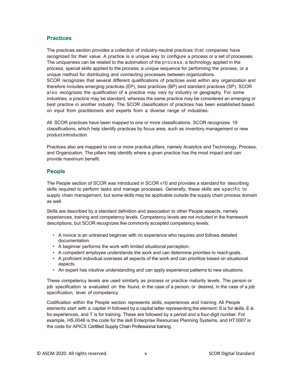#### **Practices**

The practices section provides a collection of industry-neutral practices that companies have recognized for their value. A practice is a unique way to configure a process or a set of processes. The uniqueness can be related to the automation of the process, a technology applied in the process, special skills applied to the process, a unique sequence for performing the process, or a unique method for distributing and connecting processes between organizations. SCOR recognizes that several different qualifications of practices exist within any organization and therefore includes emerging practices (EP), best practices (BP) and standard practices (SP). SCOR also recognizes the qualification of a practice may vary by industry or geography. For some industries, a practice may be standard, whereas the same practice may be considered an emerging or best practice in another industry. The SCOR classification of practices has been established based on input from practitioners and experts from a diverse range of industries.

All SCOR practices have been mapped to one or more classifications. SCOR recognizes 19 classifications, which help identify practices by focus area, such as inventory management or new productintroduction.

Practices also are mapped to one or more practice pillars, namely Analytics and Technology, Process, and Organization. The pillars help identify where a given practice has the most impact and can provide maximum benefit.

#### **People**

The People section of SCOR was introduced in SCOR v10 and provides a standard for describing skills required to perform tasks and manage processes. Generally, these skills are specific to supply chain management, but some skills may be applicable outside the supply chain process domain as well.

Skills are described by a standard definition and association to other People aspects, namely experiences, training and competency levels. Competency levels are not included in the framework descriptions, but SCOR recognizes five commonly accepted competency levels:

- A novice is an untrained beginner with no experience who requires and follows detailed documentation.
- A beginner performs the work with limited situational perception.
- A competent employee understands the work and can determine priorities to reachgoals.
- A proficient individual oversees all aspects of the work and can prioritize based on situational aspects.
- An expert has intuitive understanding and can apply experience patterns to new situations.

These competency levels are used similarly as process or practice maturity levels. The person or job specification is evaluated on the found, in the case of a person, or desired, in the case of a job specification, level of competency.

Codification within the People section represents skills, experiences and training. All People elements start with a capital H followed by a capital letter representing the element: S is for skills, E is for experiences, and T is for training. These are followed by a period and a four-digit number. For example, HS.0046 is the code for the skill Enterprise Resources Planning Systems, and HT.0007 is the code for APICS Certified Supply Chain Professional training.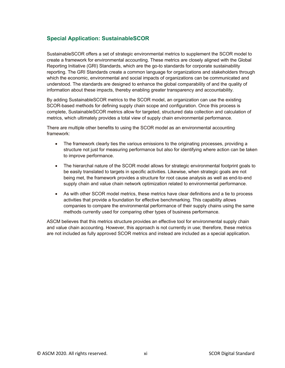# **Special Application: SustainableSCOR**

SustainableSCOR offers a set of strategic environmental metrics to supplement the SCOR model to create a framework for environmental accounting. These metrics are closely aligned with the Global Reporting Initiative (GRI) Standards, which are the go-to standards for corporate sustainability reporting. The GRI Standards create a common language for organizations and stakeholders through which the economic, environmental and social impacts of organizations can be communicated and understood. The standards are designed to enhance the global comparability of and the quality of information about these impacts, thereby enabling greater transparency and accountability.

By adding SustainableSCOR metrics to the SCOR model, an organization can use the existing SCOR-based methods for defining supply chain scope and configuration. Once this process is complete, SustainableSCOR metrics allow for targeted, structured data collection and calculation of metrics, which ultimately provides a total view of supply chain environmental performance.

There are multiple other benefits to using the SCOR model as an environmental accounting framework:

- The framework clearly ties the various emissions to the originating processes, providing a structure not just for measuring performance but also for identifying where action can be taken to improve performance.
- The hierarchal nature of the SCOR model allows for strategic environmental footprint goals to be easily translated to targets in specific activities. Likewise, when strategic goals are not being met, the framework provides a structure for root cause analysis as well as end-to-end supply chain and value chain network optimization related to environmental performance.
- As with other SCOR model metrics, these metrics have clear definitions and a tie to process activities that provide a foundation for effective benchmarking. This capability allows companies to compare the environmental performance of their supply chains using the same methods currently used for comparing other types of business performance.

ASCM believes that this metrics structure provides an effective tool for environmental supply chain and value chain accounting. However, this approach is not currently in use; therefore, these metrics are not included as fully approved SCOR metrics and instead are included as a special application.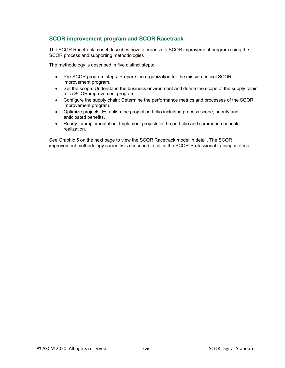#### **SCOR improvement program and SCOR Racetrack**

The SCOR Racetrack model describes how to organize a SCOR improvement program using the SCOR process and supporting methodologies

The methodology is described in five distinct steps:

- Pre-SCOR program steps: Prepare the organization for the mission-critical SCOR improvement program.
- Set the scope: Understand the business environment and define the scope of the supply chain for a SCOR improvement program.
- Configure the supply chain: Determine the performance metrics and processes of the SCOR improvement program.
- Optimize projects: Establish the project portfolio including process scope, priority and anticipated benefits.
- Ready for implementation: Implement projects in the portfolio and commence benefits realization.

See Graphic 5 on the next page to view the SCOR Racetrack model in detail. The SCOR improvement methodology currently is described in full in the SCOR-Professional training material.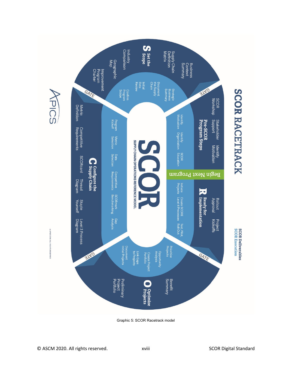

Graphic 5: SCOR Racetrack model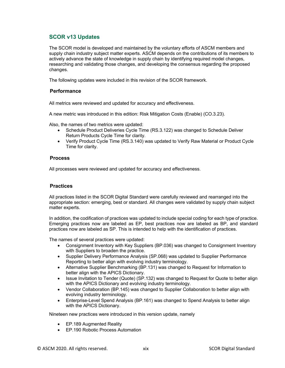# **SCOR v13 Updates**

The SCOR model is developed and maintained by the voluntary efforts of ASCM members and supply chain industry subject matter experts. ASCM depends on the contributions of its members to actively advance the state of knowledge in supply chain by identifying required model changes, researching and validating those changes, and developing the consensus regarding the proposed changes.

The following updates were included in this revision of the SCOR framework.

#### **Performance**

All metrics were reviewed and updated for accuracy and effectiveness.

A new metric was introduced in this edition: Risk Mitigation Costs (Enable) (CO.3.23).

Also, the names of two metrics were updated:

- Schedule Product Deliveries Cycle Time (RS.3.122) was changed to Schedule Deliver Return Products Cycle Time for clarity.
- Verify Product Cycle Time (RS.3.140) was updated to Verify Raw Material or Product Cycle Time for clarity.

#### **Process**

All processes were reviewed and updated for accuracy and effectiveness.

#### **Practices**

All practices listed in the SCOR Digital Standard were carefully reviewed and rearranged into the appropriate section: emerging, best or standard. All changes were validated by supply chain subject matter experts.

In addition, the codification of practices was updated to include special coding for each type of practice. Emerging practices now are labeled as EP, best practices now are labeled as BP, and standard practices now are labeled as SP. This is intended to help with the identification of practices.

The names of several practices were updated:

- Consignment Inventory with Key Suppliers (BP.036) was changed to Consignment Inventory with Suppliers to broaden the practice.
- Supplier Delivery Performance Analysis (SP.068) was updated to Supplier Performance Reporting to better align with evolving industry terminology.
- Alternative Supplier Benchmarking (BP.131) was changed to Request for Information to better align with the APICS Dictionary.
- Issue Invitation to Tender (Quote) (SP.132) was changed to Request for Quote to better align with the APICS Dictionary and evolving industry terminology.
- Vendor Collaboration (BP.145) was changed to Supplier Collaboration to better align with evolving industry terminology.
- Enterprise-Level Spend Analysis (BP.161) was changed to Spend Analysis to better align with the APICS Dictionary.

Nineteen new practices were introduced in this version update, namely

- EP.189 Augmented Reality
- EP.190 Robotic Process Automation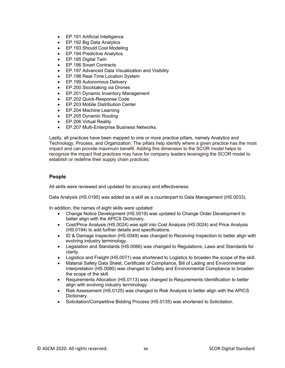- EP.191 Artificial Intelligence
- EP.192 Big Data Analytics
- EP.193 Should Cost Modeling
- EP.194 Predictive Analytics
- EP.195 Digital Twin
- EP.196 Smart Contracts
- EP.197 Advanced Data Visualization and Visibility
- EP.198 Real-Time Location System
- EP.199 Autonomous Delivery
- EP.200 Stocktaking via Drones
- EP.201 Dynamic Inventory Management
- EP.202 Quick-Response Code
- EP.203 Mobile Distribution Center
- EP.204 Machine Learning
- EP.205 Dynamic Routing
- EP.206 Virtual Reality
- EP.207 Multi-Enterprise Business Networks.

Lastly, all practices have been mapped to one or more practice pillars, namely Analytics and Technology, Process, and Organization. The pillars help identify where a given practice has the most impact and can provide maximum benefit. Adding this dimension to the SCOR model helps to recognize the impact that practices may have for company leaders leveraging the SCOR model to establish or redefine their supply chain practices.

#### **People**

All skills were reviewed and updated for accuracy and effectiveness.

Data Analysis (HS.0195) was added as a skill as a counterpart to Data Management (HS.0033).

In addition, the names of eight skills were updated:

- Change Notice Development (HS.0019) was updated to Change Order Development to better align with the APICS Dictionary.
- Cost/Price Analysis (HS.0024) was split into Cost Analysis (HS.0024) and Price Analysis (HS.0194) to add further details and specifications.
- ID & Damage Inspection (HS.0049) was changed to Receiving Inspection to better align with evolving industry terminology.
- Legislation and Standards (HS.0066) was changed to Regulations, Laws and Standards for clarity.
- Logistics and Freight (HS.0071) was shortened to Logistics to broaden the scope of the skill.
- Material Safety Data Sheet, Certificate of Compliance, Bill of Lading and Environmental Interpretation (HS.0080) was changed to Safety and Environmental Compliance to broaden the scope of the skill.
- Requirements Allocation (HS.0113) was changed to Requirements Identification to better align with evolving industry terminology.
- Risk Assessment (HS.0125) was changed to Risk Analysis to better align with the APICS Dictionary.
- Solicitation/Competitive Bidding Process (HS.0135) was shortened to Solicitation.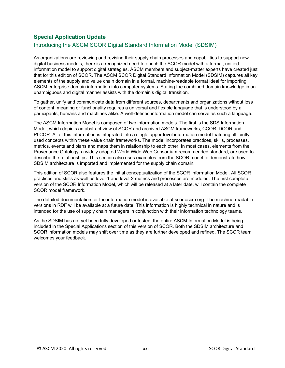# **Special Application Update**

# Introducing the ASCM SCOR Digital Standard Information Model (SDSIM)

As organizations are reviewing and revising their supply chain processes and capabilities to support new digital business models, there is a recognized need to enrich the SCOR model with a formal, unified information model to support digital strategies. ASCM members and subject-matter experts have created just that for this edition of SCOR. The ASCM SCOR Digital Standard Information Model (SDSIM) captures all key elements of the supply and value chain domain in a formal, machine-readable format ideal for importing ASCM enterprise domain information into computer systems. Stating the combined domain knowledge in an unambiguous and digital manner assists with the domain's digital transition.

To gather, unify and communicate data from different sources, departments and organizations without loss of content, meaning or functionality requires a universal and flexible language that is understood by all participants, humans and machines alike. A well-defined information model can serve as such a language.

The ASCM Information Model is composed of two information models. The first is the SDS Information Model, which depicts an abstract view of SCOR and archived ASCM frameworks, CCOR, DCOR and PLCOR. All of this information is integrated into a single upper-level information model featuring all jointly used concepts within these value chain frameworks. The model incorporates practices, skills, processes, metrics, events and plans and maps them in relationship to each other. In most cases, elements from the Provenance Ontology, a widely adopted World Wide Web Consortium recommended standard, are used to describe the relationships. This section also uses examples from the SCOR model to demonstrate how SDSIM architecture is imported and implemented for the supply chain domain.

This edition of SCOR also features the initial conceptualization of the SCOR Information Model. All SCOR practices and skills as well as level-1 and level-2 metrics and processes are modeled. The first complete version of the SCOR Information Model, which will be released at a later date, will contain the complete SCOR model framework.

The detailed documentation for the information model is available at scor.ascm.org. The machine-readable versions in RDF will be available at a future date. This information is highly technical in nature and is intended for the use of supply chain managers in conjunction with their information technology teams.

As the SDSIM has not yet been fully developed or tested, the entire ASCM Information Model is being included in the Special Applications section of this version of SCOR. Both the SDSIM architecture and SCOR information models may shift over time as they are further developed and refined. The SCOR team welcomes your feedback.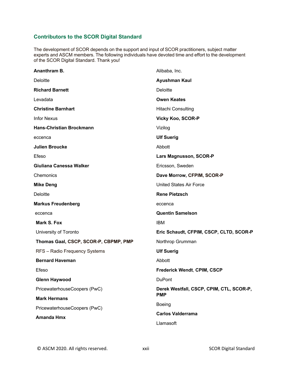# **Contributors to the SCOR Digital Standard**

The development of SCOR depends on the support and input of SCOR practitioners, subject matter experts and ASCM members. The following individuals have devoted time and effort to the development of the SCOR Digital Standard. Thank you!

| Ananthram B.                          | Alibaba, Inc.                            |  |
|---------------------------------------|------------------------------------------|--|
| <b>Deloitte</b>                       | Ayushman Kaul                            |  |
| <b>Richard Barnett</b>                | <b>Deloitte</b>                          |  |
| Levadata                              | <b>Owen Keates</b>                       |  |
| <b>Christine Barnhart</b>             | Hitachi Consulting                       |  |
| <b>Infor Nexus</b>                    | <b>Vicky Koo, SCOR-P</b>                 |  |
| <b>Hans-Christian Brockmann</b>       | Vizilog                                  |  |
| eccenca                               | <b>Ulf Suerig</b>                        |  |
| <b>Julien Broucke</b>                 | Abbott                                   |  |
| Efeso                                 | <b>Lars Magnusson, SCOR-P</b>            |  |
| Giuliana Canessa Walker               | Ericsson, Sweden                         |  |
| Chemonics                             | Dave Morrow, CFPIM, SCOR-P               |  |
| <b>Mike Deng</b>                      | <b>United States Air Force</b>           |  |
| <b>Deloitte</b>                       | <b>Rene Pietzsch</b>                     |  |
| <b>Markus Freudenberg</b>             | eccenca                                  |  |
| eccenca                               | <b>Quentin Samelson</b>                  |  |
| <b>Mark S. Fox</b>                    | <b>IBM</b>                               |  |
| University of Toronto                 | Eric Schaudt, CFPIM, CSCP, CLTD, SCOR-P  |  |
| Thomas Gaal, CSCP, SCOR-P, CBPMP, PMP | Northrop Grumman                         |  |
| RFS - Radio Frequency Systems         | <b>Ulf Suerig</b>                        |  |
| <b>Bernard Haveman</b>                | Abbott                                   |  |
| Efeso                                 | <b>Frederick Wendt, CPIM, CSCP</b>       |  |
| <b>Glenn Haywood</b>                  | <b>DuPont</b>                            |  |
| PricewaterhouseCoopers (PwC)          | Derek Westfall, CSCP, CPIM, CTL, SCOR-P, |  |
| <b>Mark Hermans</b>                   | <b>PMP</b>                               |  |
| PricewaterhouseCoopers (PwC)          | Boeing                                   |  |
| <b>Amanda Hmx</b>                     | <b>Carlos Valderrama</b>                 |  |
|                                       | Llamasoft                                |  |